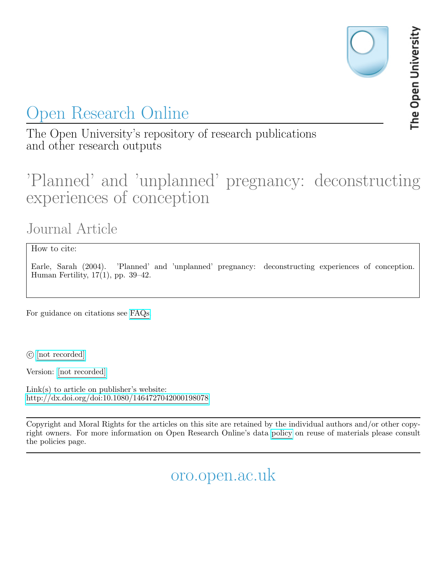# Open Research Online

The Open University's repository of research publications and other research outputs

## 'Planned' and 'unplanned' pregnancy: deconstructing experiences of conception

## Journal Article

How to cite:

Earle, Sarah (2004). 'Planned' and 'unplanned' pregnancy: deconstructing experiences of conception. Human Fertility, 17(1), pp. 39–42.

For guidance on citations see [FAQs.](http://oro.open.ac.uk/help/helpfaq.html)

c [\[not recorded\]](http://oro.open.ac.uk/help/helpfaq.html#Unrecorded_information_on_coversheet)

Version: [\[not recorded\]](http://oro.open.ac.uk/help/helpfaq.html#Unrecorded_information_on_coversheet)

Link(s) to article on publisher's website: <http://dx.doi.org/doi:10.1080/1464727042000198078>

Copyright and Moral Rights for the articles on this site are retained by the individual authors and/or other copyright owners. For more information on Open Research Online's data [policy](http://oro.open.ac.uk/policies.html) on reuse of materials please consult the policies page.

oro.open.ac.uk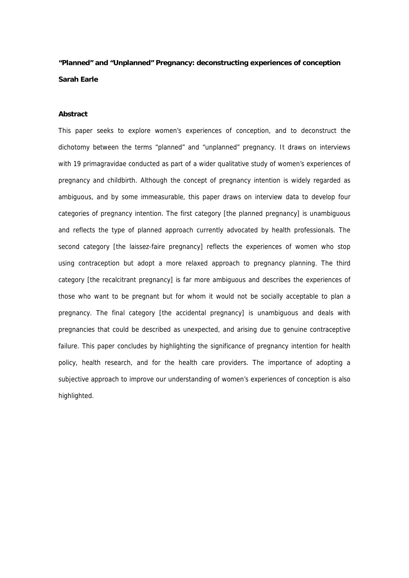### **"Planned" and "Unplanned" Pregnancy: deconstructing experiences of conception Sarah Earle**

#### **Abstract**

This paper seeks to explore women's experiences of conception, and to deconstruct the dichotomy between the terms "planned" and "unplanned" pregnancy. It draws on interviews with 19 primagravidae conducted as part of a wider qualitative study of women's experiences of pregnancy and childbirth. Although the concept of pregnancy intention is widely regarded as ambiguous, and by some immeasurable, this paper draws on interview data to develop four categories of pregnancy intention. The first category [the planned pregnancy] is unambiguous and reflects the type of planned approach currently advocated by health professionals. The second category [the laissez-faire pregnancy] reflects the experiences of women who stop using contraception but adopt a more relaxed approach to pregnancy planning. The third category [the recalcitrant pregnancy] is far more ambiguous and describes the experiences of those who want to be pregnant but for whom it would not be socially acceptable to plan a pregnancy. The final category [the accidental pregnancy] is unambiguous and deals with pregnancies that could be described as unexpected, and arising due to genuine contraceptive failure. This paper concludes by highlighting the significance of pregnancy intention for health policy, health research, and for the health care providers. The importance of adopting a subjective approach to improve our understanding of women's experiences of conception is also highlighted.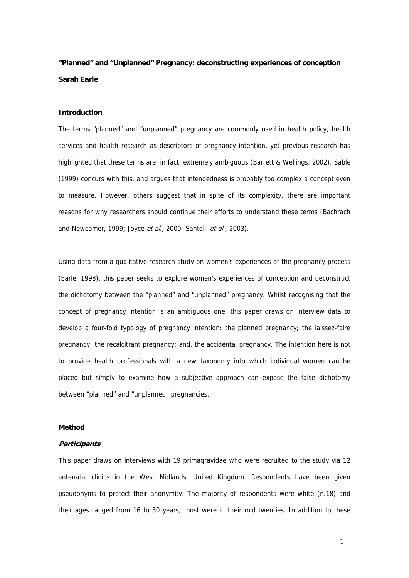### **"Planned" and "Unplanned" Pregnancy: deconstructing experiences of conception Sarah Earle**

#### **Introduction**

The terms "planned" and "unplanned" pregnancy are commonly used in health policy, health services and health research as descriptors of pregnancy intention, yet previous research has highlighted that these terms are, in fact, extremely ambiguous (Barrett & Wellings, 2002). Sable (1999) concurs with this, and argues that intendedness is probably too complex a concept even to measure. However, others suggest that in spite of its complexity, there are important reasons for why researchers should continue their efforts to understand these terms (Bachrach and Newcomer, 1999; Joyce et al., 2000; Santelli et al., 2003).

Using data from a qualitative research study on women's experiences of the pregnancy process (Earle, 1998), this paper seeks to explore women's experiences of conception and deconstruct the dichotomy between the "planned" and "unplanned" pregnancy. Whilst recognising that the concept of pregnancy intention is an ambiguous one, this paper draws on interview data to develop a four-fold typology of pregnancy intention: the planned pregnancy; the laissez-faire pregnancy; the recalcitrant pregnancy; and, the accidental pregnancy. The intention here is not to provide health professionals with a new taxonomy into which individual women can be placed but simply to examine how a subjective approach can expose the false dichotomy between "planned" and "unplanned" pregnancies.

#### **Method**

#### **Participants**

This paper draws on interviews with 19 primagravidae who were recruited to the study via 12 antenatal clinics in the West Midlands, United Kingdom. Respondents have been given pseudonyms to protect their anonymity. The majority of respondents were white (n.18) and their ages ranged from 16 to 30 years; most were in their mid twenties. In addition to these

1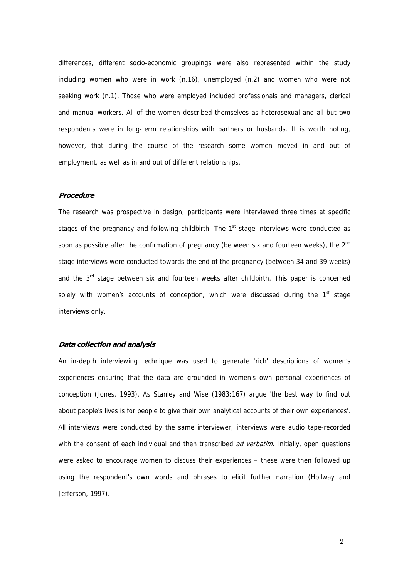differences, different socio-economic groupings were also represented within the study including women who were in work (n.16), unemployed (n.2) and women who were not seeking work (n.1). Those who were employed included professionals and managers, clerical and manual workers. All of the women described themselves as heterosexual and all but two respondents were in long-term relationships with partners or husbands. It is worth noting, however, that during the course of the research some women moved in and out of employment, as well as in and out of different relationships.

#### **Procedure**

The research was prospective in design; participants were interviewed three times at specific stages of the pregnancy and following childbirth. The  $1<sup>st</sup>$  stage interviews were conducted as soon as possible after the confirmation of pregnancy (between six and fourteen weeks), the 2<sup>nd</sup> stage interviews were conducted towards the end of the pregnancy (between 34 and 39 weeks) and the 3<sup>rd</sup> stage between six and fourteen weeks after childbirth. This paper is concerned solely with women's accounts of conception, which were discussed during the  $1<sup>st</sup>$  stage interviews only.

#### **Data collection and analysis**

An in-depth interviewing technique was used to generate 'rich' descriptions of women's experiences ensuring that the data are grounded in women's own personal experiences of conception (Jones, 1993). As Stanley and Wise (1983:167) argue 'the best way to find out about people's lives is for people to give their own analytical accounts of their own experiences'. All interviews were conducted by the same interviewer; interviews were audio tape-recorded with the consent of each individual and then transcribed *ad verbatim*. Initially, open questions were asked to encourage women to discuss their experiences – these were then followed up using the respondent's own words and phrases to elicit further narration (Hollway and Jefferson, 1997).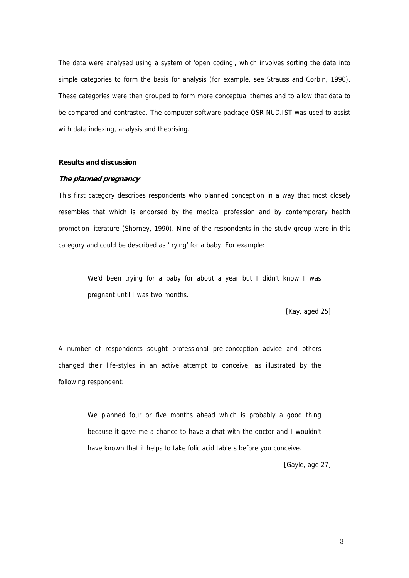The data were analysed using a system of 'open coding', which involves sorting the data into simple categories to form the basis for analysis (for example, see Strauss and Corbin, 1990). These categories were then grouped to form more conceptual themes and to allow that data to be compared and contrasted. The computer software package QSR NUD.IST was used to assist with data indexing, analysis and theorising.

#### **Results and discussion**

#### **The planned pregnancy**

This first category describes respondents who planned conception in a way that most closely resembles that which is endorsed by the medical profession and by contemporary health promotion literature (Shorney, 1990). Nine of the respondents in the study group were in this category and could be described as 'trying' for a baby. For example:

We'd been trying for a baby for about a year but I didn't know I was pregnant until I was two months.

[Kay, aged 25]

A number of respondents sought professional pre-conception advice and others changed their life-styles in an active attempt to conceive, as illustrated by the following respondent:

> We planned four or five months ahead which is probably a good thing because it gave me a chance to have a chat with the doctor and I wouldn't have known that it helps to take folic acid tablets before you conceive.

> > [Gayle, age 27]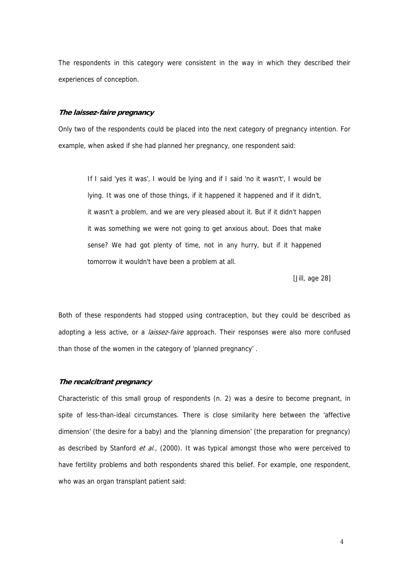The respondents in this category were consistent in the way in which they described their experiences of conception.

#### **The laissez-faire pregnancy**

Only two of the respondents could be placed into the next category of pregnancy intention. For example, when asked if she had planned her pregnancy, one respondent said:

If I said 'yes it was', I would be lying and if I said 'no it wasn't', I would be lying. It was one of those things, if it happened it happened and if it didn't, it wasn't a problem, and we are very pleased about it. But if it didn't happen it was something we were not going to get anxious about. Does that make sense? We had got plenty of time, not in any hurry, but if it happened tomorrow it wouldn't have been a problem at all.

[Jill, age 28]

Both of these respondents had stopped using contraception, but they could be described as adopting a less active, or a *laissez-faire* approach. Their responses were also more confused than those of the women in the category of 'planned pregnancy' .

#### **The recalcitrant pregnancy**

Characteristic of this small group of respondents (n. 2) was a desire to become pregnant, in spite of less-than-ideal circumstances. There is close similarity here between the 'affective dimension' (the desire for a baby) and the 'planning dimension' (the preparation for pregnancy) as described by Stanford et al., (2000). It was typical amongst those who were perceived to have fertility problems and both respondents shared this belief. For example, one respondent, who was an organ transplant patient said: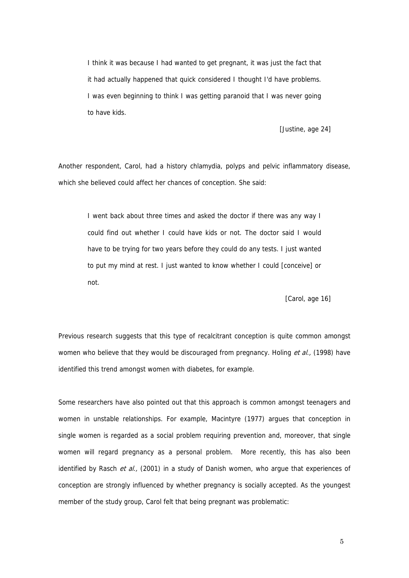I think it was because I had wanted to get pregnant, it was just the fact that it had actually happened that quick considered I thought I'd have problems. I was even beginning to think I was getting paranoid that I was never going to have kids.

[Justine, age 24]

Another respondent, Carol, had a history chlamydia, polyps and pelvic inflammatory disease, which she believed could affect her chances of conception. She said:

I went back about three times and asked the doctor if there was any way I could find out whether I could have kids or not. The doctor said I would have to be trying for two years before they could do any tests. I just wanted to put my mind at rest. I just wanted to know whether I could [conceive] or not.

[Carol, age 16]

Previous research suggests that this type of recalcitrant conception is quite common amongst women who believe that they would be discouraged from pregnancy. Holing et al., (1998) have identified this trend amongst women with diabetes, for example.

Some researchers have also pointed out that this approach is common amongst teenagers and women in unstable relationships. For example, Macintyre (1977) argues that conception in single women is regarded as a social problem requiring prevention and, moreover, that single women will regard pregnancy as a personal problem. More recently, this has also been identified by Rasch et al., (2001) in a study of Danish women, who arque that experiences of conception are strongly influenced by whether pregnancy is socially accepted. As the youngest member of the study group, Carol felt that being pregnant was problematic:

 $5\,$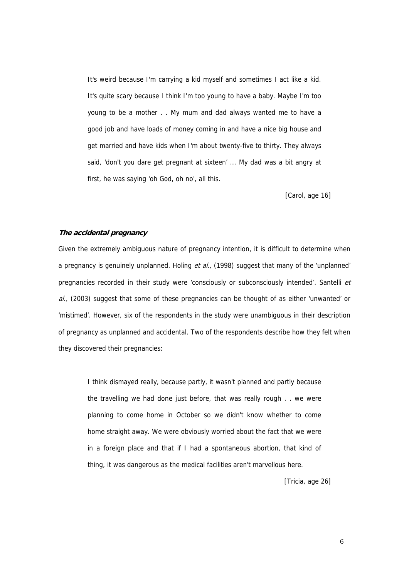It's weird because I'm carrying a kid myself and sometimes I act like a kid. It's quite scary because I think I'm too young to have a baby. Maybe I'm too young to be a mother . . My mum and dad always wanted me to have a good job and have loads of money coming in and have a nice big house and get married and have kids when I'm about twenty-five to thirty. They always said, 'don't you dare get pregnant at sixteen' ... My dad was a bit angry at first, he was saying 'oh God, oh no', all this.

[Carol, age 16]

#### **The accidental pregnancy**

Given the extremely ambiguous nature of pregnancy intention, it is difficult to determine when a pregnancy is genuinely unplanned. Holing et al., (1998) suggest that many of the 'unplanned' pregnancies recorded in their study were 'consciously or subconsciously intended'. Santelli et  $al.$  (2003) suggest that some of these pregnancies can be thought of as either 'unwanted' or 'mistimed'. However, six of the respondents in the study were unambiguous in their description of pregnancy as unplanned and accidental. Two of the respondents describe how they felt when they discovered their pregnancies:

I think dismayed really, because partly, it wasn't planned and partly because the travelling we had done just before, that was really rough . . we were planning to come home in October so we didn't know whether to come home straight away. We were obviously worried about the fact that we were in a foreign place and that if I had a spontaneous abortion, that kind of thing, it was dangerous as the medical facilities aren't marvellous here.

[Tricia, age 26]

 $\sim$  6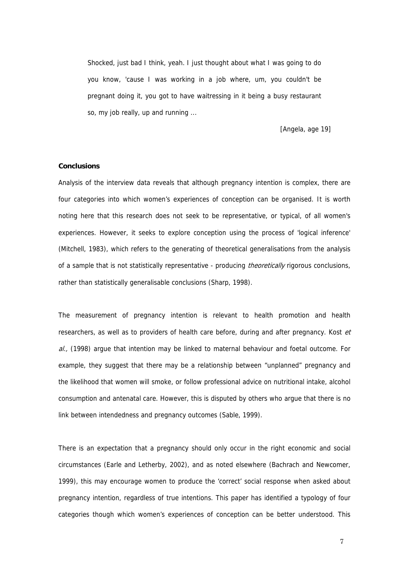Shocked, just bad I think, yeah. I just thought about what I was going to do you know, 'cause I was working in a job where, um, you couldn't be pregnant doing it, you got to have waitressing in it being a busy restaurant so, my job really, up and running ...

[Angela, age 19]

#### **Conclusions**

Analysis of the interview data reveals that although pregnancy intention is complex, there are four categories into which women's experiences of conception can be organised. It is worth noting here that this research does not seek to be representative, or typical, of all women's experiences. However, it seeks to explore conception using the process of 'logical inference' (Mitchell, 1983), which refers to the generating of theoretical generalisations from the analysis of a sample that is not statistically representative - producing *theoretically* rigorous conclusions, rather than statistically generalisable conclusions (Sharp, 1998).

The measurement of pregnancy intention is relevant to health promotion and health researchers, as well as to providers of health care before, during and after pregnancy. Kost et al., (1998) argue that intention may be linked to maternal behaviour and foetal outcome. For example, they suggest that there may be a relationship between "unplanned" pregnancy and the likelihood that women will smoke, or follow professional advice on nutritional intake, alcohol consumption and antenatal care. However, this is disputed by others who argue that there is no link between intendedness and pregnancy outcomes (Sable, 1999).

There is an expectation that a pregnancy should only occur in the right economic and social circumstances (Earle and Letherby, 2002), and as noted elsewhere (Bachrach and Newcomer, 1999), this may encourage women to produce the 'correct' social response when asked about pregnancy intention, regardless of true intentions. This paper has identified a typology of four categories though which women's experiences of conception can be better understood. This

7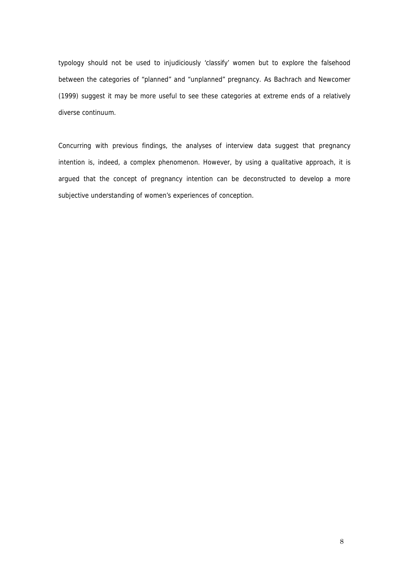typology should not be used to injudiciously 'classify' women but to explore the falsehood between the categories of "planned" and "unplanned" pregnancy. As Bachrach and Newcomer (1999) suggest it may be more useful to see these categories at extreme ends of a relatively diverse continuum.

Concurring with previous findings, the analyses of interview data suggest that pregnancy intention is, indeed, a complex phenomenon. However, by using a qualitative approach, it is argued that the concept of pregnancy intention can be deconstructed to develop a more subjective understanding of women's experiences of conception.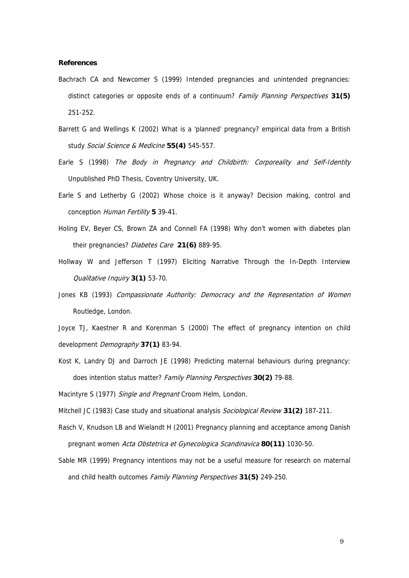#### **References**

- Bachrach CA and Newcomer S (1999) Intended pregnancies and unintended pregnancies: distinct categories or opposite ends of a continuum? Family Planning Perspectives **31(5)** 251-252.
- Barrett G and Wellings K (2002) What is a 'planned' pregnancy? empirical data from a British study Social Science & Medicine **55(4)** 545-557.
- Earle S (1998) The Body in Pregnancy and Childbirth: Corporeality and Self-Identity Unpublished PhD Thesis, Coventry University, UK.
- Earle S and Letherby G (2002) Whose choice is it anyway? Decision making, control and conception Human Fertility **5** 39-41.
- Holing EV, Beyer CS, Brown ZA and Connell FA (1998) Why don't women with diabetes plan their pregnancies? Diabetes Care **21(6)** 889-95.
- Hollway W and Jefferson T (1997) Eliciting Narrative Through the In-Depth Interview Qualitative Inquiry **3(1)** 53-70.
- Jones KB (1993) Compassionate Authority: Democracy and the Representation of Women Routledge, London.

Joyce TJ, Kaestner R and Korenman S (2000) The effect of pregnancy intention on child development Demography **37(1)** 83-94.

- Kost K, Landry DJ and Darroch JE (1998) Predicting maternal behaviours during pregnancy: does intention status matter? Family Planning Perspectives **30(2)** 79-88.
- Macintyre S (1977) Single and Pregnant Croom Helm, London.
- Mitchell JC (1983) Case study and situational analysis Sociological Review **31(2)** 187-211.
- Rasch V, Knudson LB and Wielandt H (2001) Pregnancy planning and acceptance among Danish pregnant women Acta Obstetrica et Gynecologica Scandinavica **80(11)** 1030-50.
- Sable MR (1999) Pregnancy intentions may not be a useful measure for research on maternal and child health outcomes Family Planning Perspectives **31(5)** 249-250.